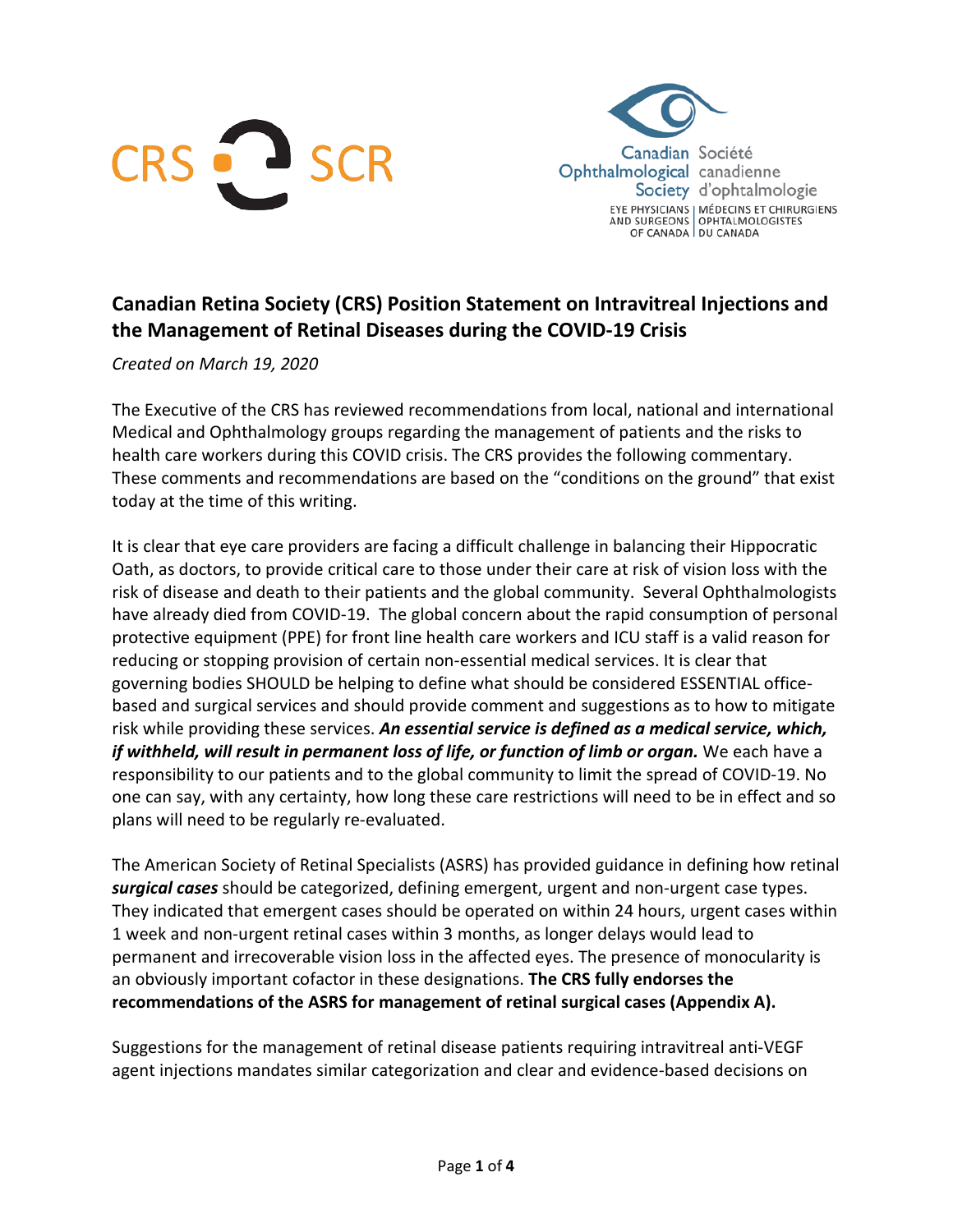



# **Canadian Retina Society (CRS) Position Statement on Intravitreal Injections and the Management of Retinal Diseases during the COVID-19 Crisis**

*Created on March 19, 2020*

The Executive of the CRS has reviewed recommendations from local, national and international Medical and Ophthalmology groups regarding the management of patients and the risks to health care workers during this COVID crisis. The CRS provides the following commentary. These comments and recommendations are based on the "conditions on the ground" that exist today at the time of this writing.

It is clear that eye care providers are facing a difficult challenge in balancing their Hippocratic Oath, as doctors, to provide critical care to those under their care at risk of vision loss with the risk of disease and death to their patients and the global community. Several Ophthalmologists have already died from COVID-19. The global concern about the rapid consumption of personal protective equipment (PPE) for front line health care workers and ICU staff is a valid reason for reducing or stopping provision of certain non-essential medical services. It is clear that governing bodies SHOULD be helping to define what should be considered ESSENTIAL officebased and surgical services and should provide comment and suggestions as to how to mitigate risk while providing these services. *An essential service is defined as a medical service, which, if withheld, will result in permanent loss of life, or function of limb or organ.* We each have a responsibility to our patients and to the global community to limit the spread of COVID-19. No one can say, with any certainty, how long these care restrictions will need to be in effect and so plans will need to be regularly re-evaluated.

The American Society of Retinal Specialists (ASRS) has provided guidance in defining how retinal *surgical cases* should be categorized, defining emergent, urgent and non-urgent case types. They indicated that emergent cases should be operated on within 24 hours, urgent cases within 1 week and non-urgent retinal cases within 3 months, as longer delays would lead to permanent and irrecoverable vision loss in the affected eyes. The presence of monocularity is an obviously important cofactor in these designations. **The CRS fully endorses the recommendations of the ASRS for management of retinal surgical cases (Appendix A).**

Suggestions for the management of retinal disease patients requiring intravitreal anti-VEGF agent injections mandates similar categorization and clear and evidence-based decisions on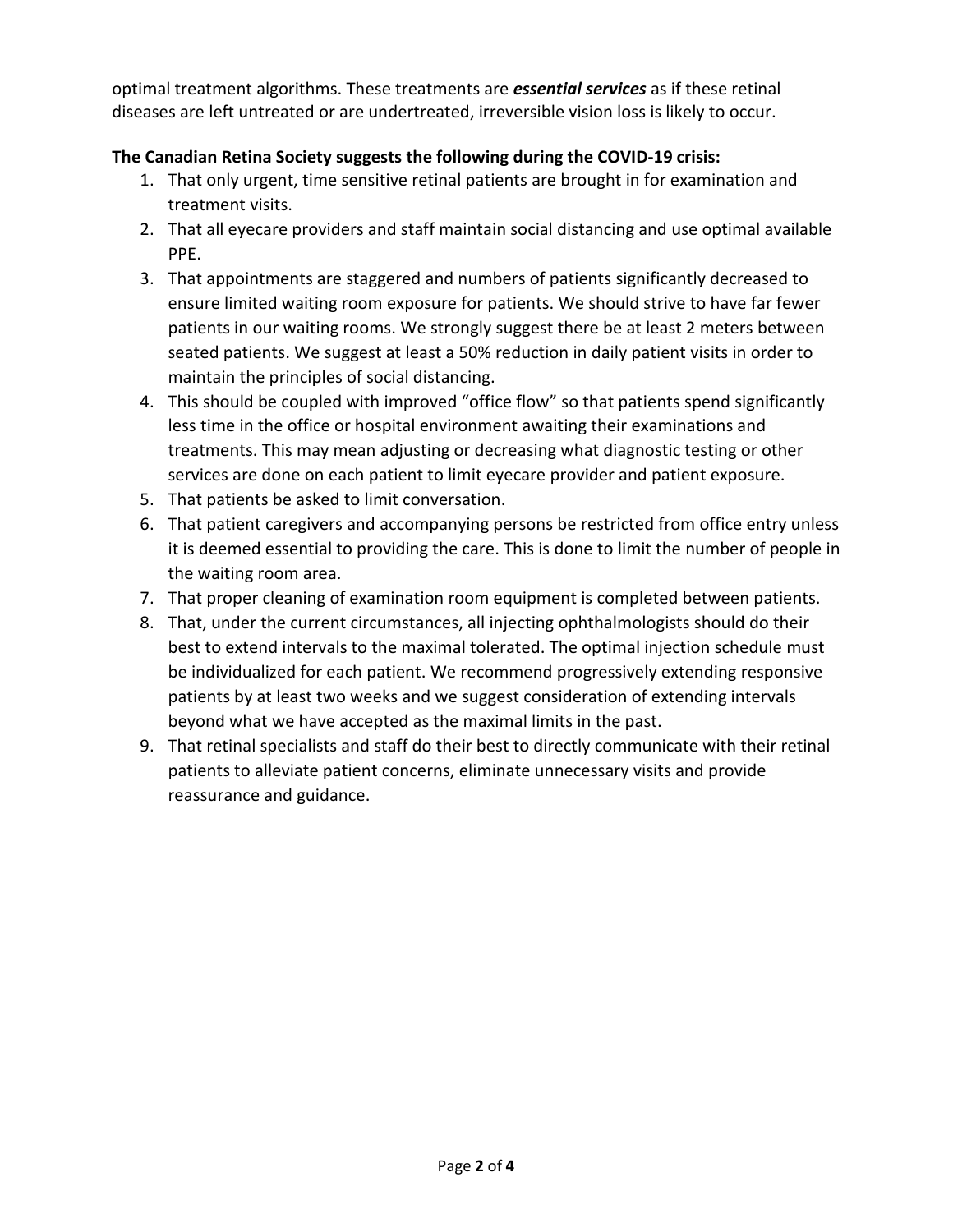optimal treatment algorithms. These treatments are *essential services* as if these retinal diseases are left untreated or are undertreated, irreversible vision loss is likely to occur.

### **The Canadian Retina Society suggests the following during the COVID-19 crisis:**

- 1. That only urgent, time sensitive retinal patients are brought in for examination and treatment visits.
- 2. That all eyecare providers and staff maintain social distancing and use optimal available PPE.
- 3. That appointments are staggered and numbers of patients significantly decreased to ensure limited waiting room exposure for patients. We should strive to have far fewer patients in our waiting rooms. We strongly suggest there be at least 2 meters between seated patients. We suggest at least a 50% reduction in daily patient visits in order to maintain the principles of social distancing.
- 4. This should be coupled with improved "office flow" so that patients spend significantly less time in the office or hospital environment awaiting their examinations and treatments. This may mean adjusting or decreasing what diagnostic testing or other services are done on each patient to limit eyecare provider and patient exposure.
- 5. That patients be asked to limit conversation.
- 6. That patient caregivers and accompanying persons be restricted from office entry unless it is deemed essential to providing the care. This is done to limit the number of people in the waiting room area.
- 7. That proper cleaning of examination room equipment is completed between patients.
- 8. That, under the current circumstances, all injecting ophthalmologists should do their best to extend intervals to the maximal tolerated. The optimal injection schedule must be individualized for each patient. We recommend progressively extending responsive patients by at least two weeks and we suggest consideration of extending intervals beyond what we have accepted as the maximal limits in the past.
- 9. That retinal specialists and staff do their best to directly communicate with their retinal patients to alleviate patient concerns, eliminate unnecessary visits and provide reassurance and guidance.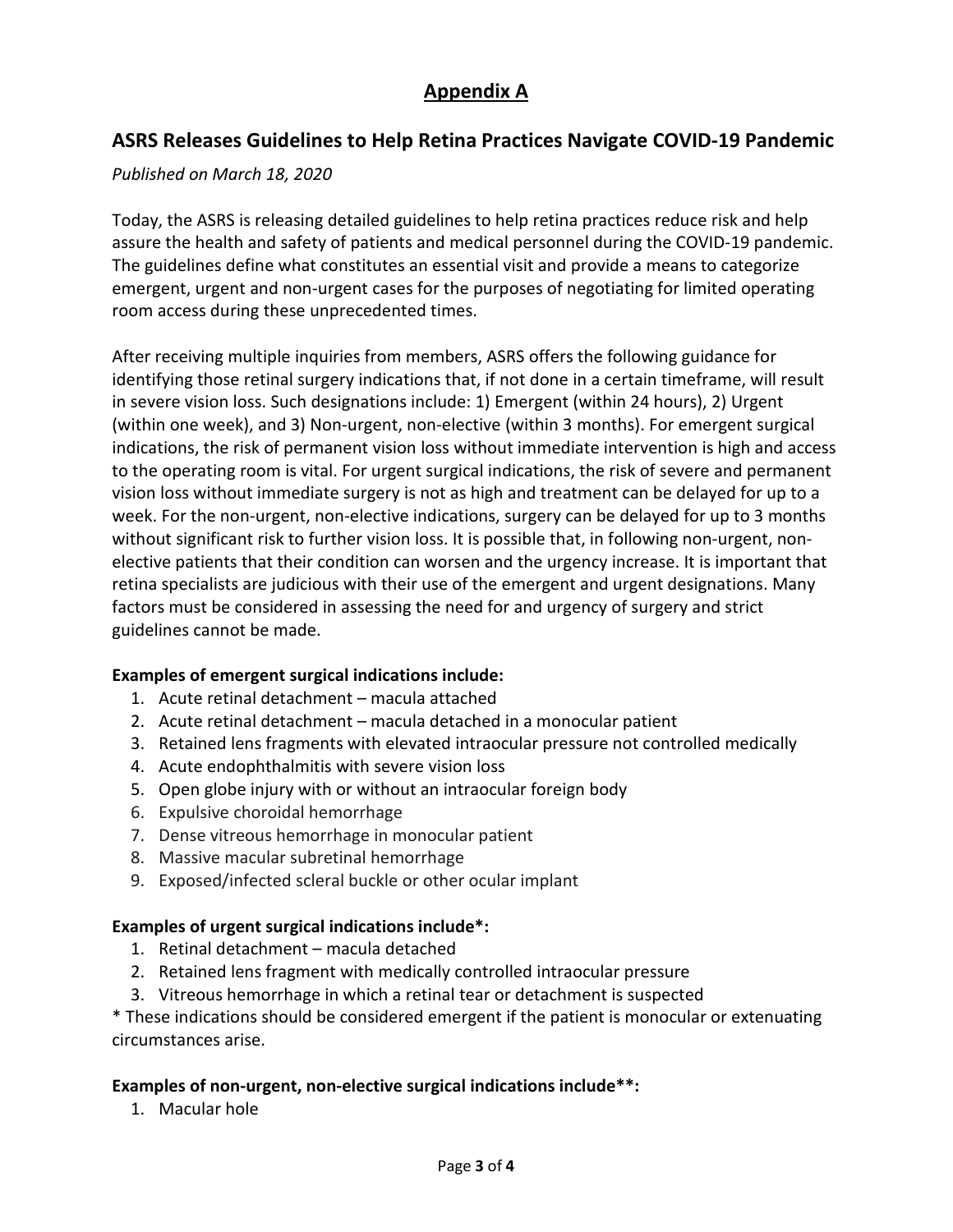# **Appendix A**

## **ASRS Releases Guidelines to Help Retina Practices Navigate COVID-19 Pandemic**

#### *Published on March 18, 2020*

Today, the ASRS is releasing detailed guidelines to help retina practices reduce risk and help assure the health and safety of patients and medical personnel during the COVID-19 pandemic. The guidelines define what constitutes an essential visit and provide a means to categorize emergent, urgent and non-urgent cases for the purposes of negotiating for limited operating room access during these unprecedented times.

After receiving multiple inquiries from members, ASRS offers the following guidance for identifying those retinal surgery indications that, if not done in a certain timeframe, will result in severe vision loss. Such designations include: 1) Emergent (within 24 hours), 2) Urgent (within one week), and 3) Non-urgent, non-elective (within 3 months). For emergent surgical indications, the risk of permanent vision loss without immediate intervention is high and access to the operating room is vital. For urgent surgical indications, the risk of severe and permanent vision loss without immediate surgery is not as high and treatment can be delayed for up to a week. For the non-urgent, non-elective indications, surgery can be delayed for up to 3 months without significant risk to further vision loss. It is possible that, in following non-urgent, nonelective patients that their condition can worsen and the urgency increase. It is important that retina specialists are judicious with their use of the emergent and urgent designations. Many factors must be considered in assessing the need for and urgency of surgery and strict guidelines cannot be made.

### **Examples of emergent surgical indications include:**

- 1. Acute retinal detachment macula attached
- 2. Acute retinal detachment macula detached in a monocular patient
- 3. Retained lens fragments with elevated intraocular pressure not controlled medically
- 4. Acute endophthalmitis with severe vision loss
- 5. Open globe injury with or without an intraocular foreign body
- 6. Expulsive choroidal hemorrhage
- 7. Dense vitreous hemorrhage in monocular patient
- 8. Massive macular subretinal hemorrhage
- 9. Exposed/infected scleral buckle or other ocular implant

#### **Examples of urgent surgical indications include\*:**

- 1. Retinal detachment macula detached
- 2. Retained lens fragment with medically controlled intraocular pressure
- 3. Vitreous hemorrhage in which a retinal tear or detachment is suspected

\* These indications should be considered emergent if the patient is monocular or extenuating circumstances arise.

#### **Examples of non-urgent, non-elective surgical indications include\*\*:**

1. Macular hole